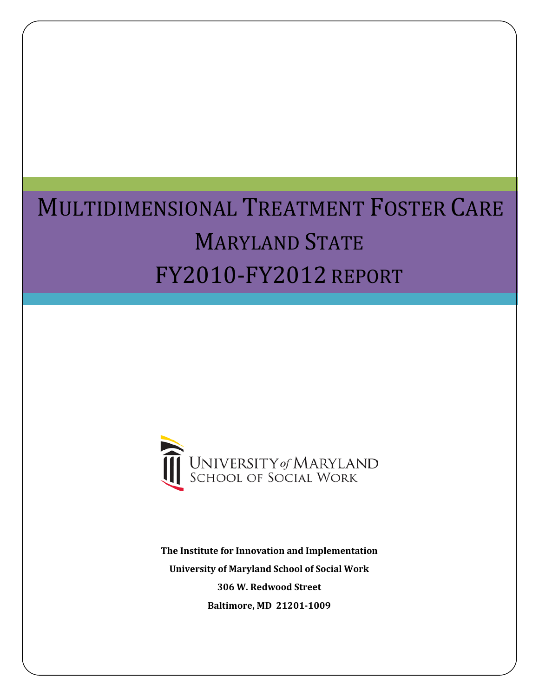# MULTIDIMENSIONAL TREATMENT FOSTER CARE MARYLAND STATE FY2010-FY2012 REPORT



<span id="page-0-0"></span>**The Institute for Innovation and Implementation University of Maryland School of Social Work 306 W. Redwood Street Baltimore, MD 21201-1009**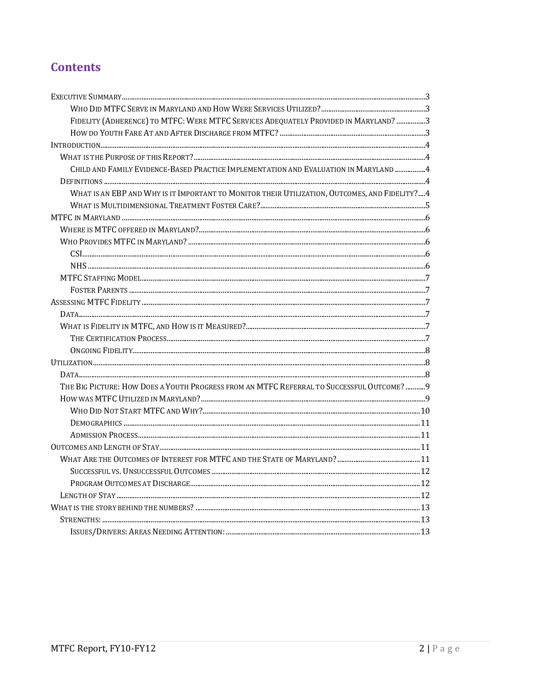# **Contents**

| FIDELITY (ADHERENCE) TO MTFC: WERE MTFC SERVICES ADEQUATELY PROVIDED IN MARYLAND? 3            |  |
|------------------------------------------------------------------------------------------------|--|
|                                                                                                |  |
|                                                                                                |  |
|                                                                                                |  |
| CHILD AND FAMILY EVIDENCE-BASED PRACTICE IMPLEMENTATION AND EVALUATION IN MARYLAND  4          |  |
|                                                                                                |  |
| WHAT IS AN EBP AND WHY IS IT IMPORTANT TO MONITOR THEIR UTILIZATION, OUTCOMES, AND FIDELITY? 4 |  |
|                                                                                                |  |
|                                                                                                |  |
|                                                                                                |  |
|                                                                                                |  |
|                                                                                                |  |
|                                                                                                |  |
|                                                                                                |  |
|                                                                                                |  |
|                                                                                                |  |
|                                                                                                |  |
|                                                                                                |  |
|                                                                                                |  |
|                                                                                                |  |
|                                                                                                |  |
|                                                                                                |  |
| THE BIG PICTURE: HOW DOES A YOUTH PROGRESS FROM AN MTFC REFERRAL TO SUCCESSFUL OUTCOME? 9      |  |
|                                                                                                |  |
|                                                                                                |  |
|                                                                                                |  |
|                                                                                                |  |
|                                                                                                |  |
|                                                                                                |  |
|                                                                                                |  |
|                                                                                                |  |
|                                                                                                |  |
|                                                                                                |  |
|                                                                                                |  |
|                                                                                                |  |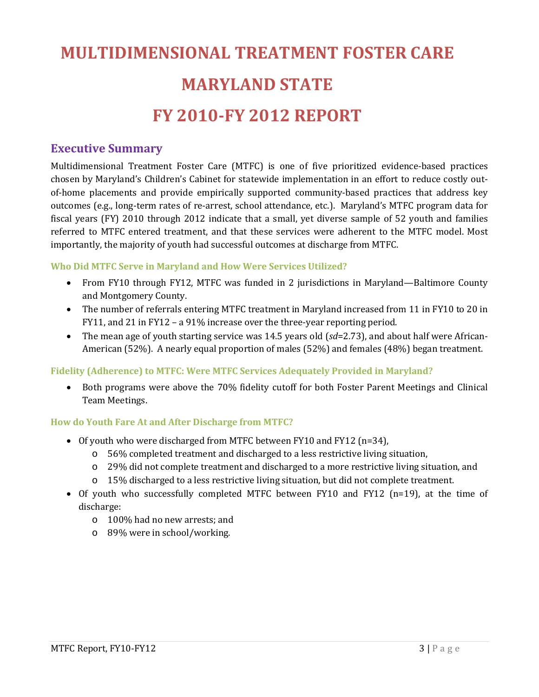# **MULTIDIMENSIONAL TREATMENT FOSTER CARE MARYLAND STATE FY 2010-FY 2012 REPORT**

# <span id="page-2-0"></span>**Executive Summary**

Multidimensional Treatment Foster Care (MTFC) is one of five prioritized evidence-based practices chosen by Maryland's Children's Cabinet for statewide implementation in an effort to reduce costly outof-home placements and provide empirically supported community-based practices that address key outcomes (e.g., long-term rates of re-arrest, school attendance, etc.). Maryland's MTFC program data for fiscal years (FY) 2010 through 2012 indicate that a small, yet diverse sample of 52 youth and families referred to MTFC entered treatment, and that these services were adherent to the MTFC model. Most importantly, the majority of youth had successful outcomes at discharge from MTFC.

#### <span id="page-2-1"></span>**Who Did MTFC Serve in Maryland and How Were Services Utilized?**

- From FY10 through FY12, MTFC was funded in 2 jurisdictions in Maryland—Baltimore County and Montgomery County.
- The number of referrals entering MTFC treatment in Maryland increased from 11 in FY10 to 20 in FY11, and 21 in FY12 – a 91% increase over the three-year reporting period.
- The mean age of youth starting service was 14.5 years old (*sd*=2.73), and about half were African-American (52%). A nearly equal proportion of males (52%) and females (48%) began treatment.

#### <span id="page-2-2"></span>**Fidelity (Adherence) to MTFC: Were MTFC Services Adequately Provided in Maryland?**

• Both programs were above the 70% fidelity cutoff for both Foster Parent Meetings and Clinical Team Meetings.

#### <span id="page-2-3"></span>**How do Youth Fare At and After Discharge from MTFC?**

- Of youth who were discharged from MTFC between FY10 and FY12 (n=34),
	- o 56% completed treatment and discharged to a less restrictive living situation,
	- o 29% did not complete treatment and discharged to a more restrictive living situation, and
	- o 15% discharged to a less restrictive living situation, but did not complete treatment.
- Of youth who successfully completed MTFC between FY10 and FY12 (n=19), at the time of discharge:
	- o 100% had no new arrests; and
	- o 89% were in school/working.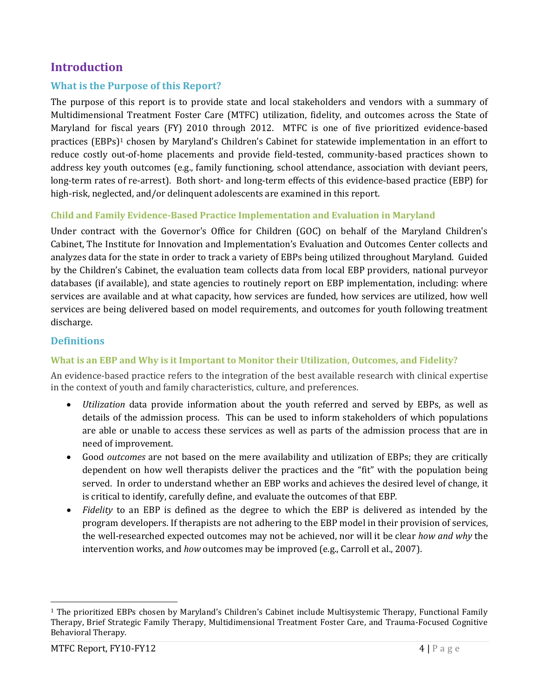# <span id="page-3-0"></span>**Introduction**

### <span id="page-3-1"></span>**What is the Purpose of this Report?**

The purpose of this report is to provide state and local stakeholders and vendors with a summary of Multidimensional Treatment Foster Care (MTFC) utilization, fidelity, and outcomes across the State of Maryland for fi[sc](#page-0-0)al years (FY) 2010 through 2012. MTFC is one of five prioritized evidence-based practices (EBPs)1 chosen by Maryland's Children's Cabinet for statewide implementation in an effort to reduce costly out-of-home placements and provide field-tested, community-based practices shown to address key youth outcomes (e.g., family functioning, school attendance, association with deviant peers, long-term rates of re-arrest). Both short- and long-term effects of this evidence-based practice (EBP) for high-risk, neglected, and/or delinquent adolescents are examined in this report.

#### <span id="page-3-2"></span>**Child and Family Evidence-Based Practice Implementation and Evaluation in Maryland**

Under contract with the Governor's Office for Children (GOC) on behalf of the Maryland Children's Cabinet, The Institute for Innovation and Implementation's Evaluation and Outcomes Center collects and analyzes data for the state in order to track a variety of EBPs being utilized throughout Maryland. Guided by the Children's Cabinet, the evaluation team collects data from local EBP providers, national purveyor databases (if available), and state agencies to routinely report on EBP implementation, including: where services are available and at what capacity, how services are funded, how services are utilized, how well services are being delivered based on model requirements, and outcomes for youth following treatment discharge.

#### <span id="page-3-3"></span>**Definitions**

#### <span id="page-3-4"></span>**What is an EBP and Why is it Important to Monitor their Utilization, Outcomes, and Fidelity?**

An evidence-based practice refers to the integration of the best available research with clinical expertise in the context of youth and family characteristics, culture, and preferences.

- *Utilization* data provide information about the youth referred and served by EBPs, as well as details of the admission process. This can be used to inform stakeholders of which populations are able or unable to access these services as well as parts of the admission process that are in need of improvement.
- Good *outcomes* are not based on the mere availability and utilization of EBPs; they are critically dependent on how well therapists deliver the practices and the "fit" with the population being served. In order to understand whether an EBP works and achieves the desired level of change, it is critical to identify, carefully define, and evaluate the outcomes of that EBP.
- *Fidelity* to an EBP is defined as the degree to which the EBP is delivered as intended by the program developers. If therapists are not adhering to the EBP model in their provision of services, the well-researched expected outcomes may not be achieved, nor will it be clear *how and why* the intervention works, and *how* outcomes may be improved (e.g., Carroll et al., 2007).

<span id="page-3-5"></span> <sup>1</sup> The prioritized EBPs chosen by Maryland's Children's Cabinet include Multisystemic Therapy, Functional Family Therapy, Brief Strategic Family Therapy, Multidimensional Treatment Foster Care, and Trauma-Focused Cognitive Behavioral Therapy.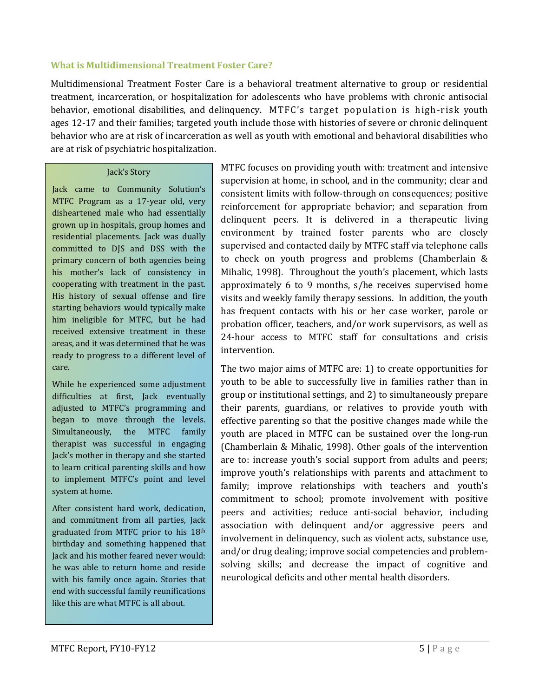#### <span id="page-4-0"></span>**What is Multidimensional Treatment Foster Care?**

Multidimensional Treatment Foster Care is a behavioral treatment alternative to group or residential treatment, incarceration, or hospitalization for adolescents who have problems with chronic antisocial behavior, emotional disabilities, and delinquency. MTFC's target population is high-risk youth ages 12-17 and their families; targeted youth include those with histories of severe or chronic delinquent behavior who are at risk of incarceration as well as youth with emotional and behavioral disabilities who are at risk of psychiatric hospitalization.

#### Jack's Story

Jack came to Community Solution's MTFC Program as a 17-year old, very disheartened male who had essentially grown up in hospitals, group homes and residential placements. Jack was dually committed to DJS and DSS with the primary concern of both agencies being his mother's lack of consistency in cooperating with treatment in the past. His history of sexual offense and fire starting behaviors would typically make him ineligible for MTFC, but he had received extensive treatment in these areas, and it was determined that he was ready to progress to a different level of care.

While he experienced some adjustment difficulties at first, Jack eventually adjusted to MTFC's programming and began to move through the levels. Simultaneously, the MTFC family therapist was successful in engaging Jack's mother in therapy and she started to learn critical parenting skills and how to implement MTFC's point and level system at home.

After consistent hard work, dedication, and commitment from all parties, Jack graduated from MTFC prior to his 18th birthday and something happened that Jack and his mother feared never would: he was able to return home and reside with his family once again. Stories that end with successful family reunifications like this are what MTFC is all about.

MTFC focuses on providing youth with: treatment and intensive supervision at home, in school, and in the community; clear and consistent limits with follow-through on consequences; positive reinforcement for appropriate behavior; and separation from delinquent peers. It is delivered in a therapeutic living environment by trained foster parents who are closely supervised and contacted daily by MTFC staff via telephone calls to check on youth progress and problems (Chamberlain & Mihalic, 1998). Throughout the youth's placement, which lasts approximately 6 to 9 months, s/he receives supervised home visits and weekly family therapy sessions. In addition, the youth has frequent contacts with his or her case worker, parole or probation officer, teachers, and/or work supervisors, as well as 24-hour access to MTFC staff for consultations and crisis intervention.

The two major aims of MTFC are: 1) to create opportunities for youth to be able to successfully live in families rather than in group or institutional settings, and 2) to simultaneously prepare their parents, guardians, or relatives to provide youth with effective parenting so that the positive changes made while the youth are placed in MTFC can be sustained over the long-run (Chamberlain & Mihalic, 1998). Other goals of the intervention are to: increase youth's social support from adults and peers; improve youth's relationships with parents and attachment to family; improve relationships with teachers and youth's commitment to school; promote involvement with positive peers and activities; reduce anti-social behavior, including association with delinquent and/or aggressive peers and involvement in delinquency, such as violent acts, substance use, and/or drug dealing; improve social competencies and problemsolving skills; and decrease the impact of cognitive and neurological deficits and other mental health disorders.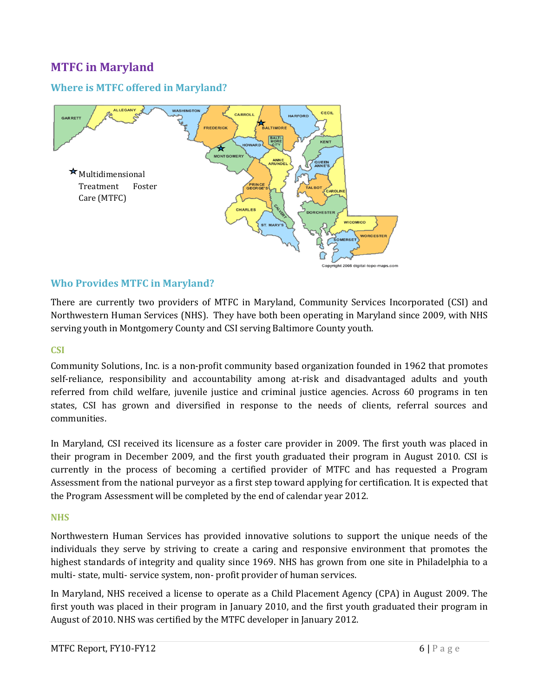# <span id="page-5-0"></span>**MTFC in Maryland**

## <span id="page-5-1"></span>**Where is MTFC offered in Maryland?**



#### <span id="page-5-2"></span>**Who Provides MTFC in Maryland?**

There are currently two providers of MTFC in Maryland, Community Services Incorporated (CSI) and Northwestern Human Services (NHS). They have both been operating in Maryland since 2009, with NHS serving youth in Montgomery County and CSI serving Baltimore County youth.

#### <span id="page-5-3"></span>**CSI**

Community Solutions, Inc. is a non-profit community based organization founded in 1962 that promotes self-reliance, responsibility and accountability among at-risk and disadvantaged adults and youth referred from child welfare, juvenile justice and criminal justice agencies. Across 60 programs in ten states, CSI has grown and diversified in response to the needs of clients, referral sources and communities.

In Maryland, CSI received its licensure as a foster care provider in 2009. The first youth was placed in their program in December 2009, and the first youth graduated their program in August 2010. CSI is currently in the process of becoming a certified provider of MTFC and has requested a Program Assessment from the national purveyor as a first step toward applying for certification. It is expected that the Program Assessment will be completed by the end of calendar year 2012.

#### <span id="page-5-4"></span>**NHS**

Northwestern Human Services has provided innovative solutions to support the unique needs of the individuals they serve by striving to create a caring and responsive environment that promotes the highest standards of integrity and quality since 1969. NHS has grown from one site in Philadelphia to a multi- state, multi- service system, non- profit provider of human services.

In Maryland, NHS received a license to operate as a Child Placement Agency (CPA) in August 2009. The first youth was placed in their program in January 2010, and the first youth graduated their program in August of 2010. NHS was certified by the MTFC developer in January 2012.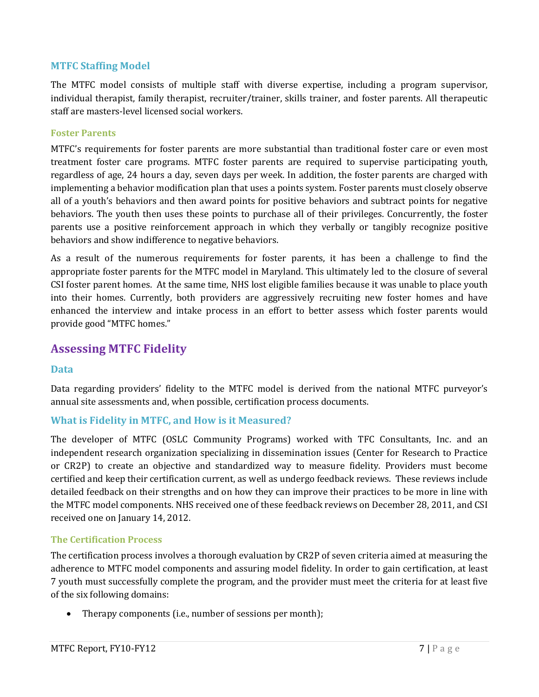#### <span id="page-6-0"></span>**MTFC Staffing Model**

The MTFC model consists of multiple staff with diverse expertise, including a program supervisor, individual therapist, family therapist, recruiter/trainer, skills trainer, and foster parents. All therapeutic staff are masters-level licensed social workers.

#### <span id="page-6-1"></span>**Foster Parents**

MTFC's requirements for foster parents are more substantial than traditional foster care or even most treatment foster care programs. MTFC foster parents are required to supervise participating youth, regardless of age, 24 hours a day, seven days per week. In addition, the foster parents are charged with implementing a behavior modification plan that uses a points system. Foster parents must closely observe all of a youth's behaviors and then award points for positive behaviors and subtract points for negative behaviors. The youth then uses these points to purchase all of their privileges. Concurrently, the foster parents use a positive reinforcement approach in which they verbally or tangibly recognize positive behaviors and show indifference to negative behaviors.

As a result of the numerous requirements for foster parents, it has been a challenge to find the appropriate foster parents for the MTFC model in Maryland. This ultimately led to the closure of several CSI foster parent homes. At the same time, NHS lost eligible families because it was unable to place youth into their homes. Currently, both providers are aggressively recruiting new foster homes and have enhanced the interview and intake process in an effort to better assess which foster parents would provide good "MTFC homes."

## <span id="page-6-2"></span>**Assessing MTFC Fidelity**

#### <span id="page-6-3"></span>**Data**

Data regarding providers' fidelity to the MTFC model is derived from the national MTFC purveyor's annual site assessments and, when possible, certification process documents.

#### <span id="page-6-4"></span>**What is Fidelity in MTFC, and How is it Measured?**

The developer of MTFC (OSLC Community Programs) worked with TFC Consultants, Inc. and an independent research organization specializing in dissemination issues [\(Center for Research to Practice](http://www.cr2p.org/) or CR2P) to create an objective and standardized way to measure fidelity. Providers must become certified and keep their certification current, as well as undergo feedback reviews. These reviews include detailed feedback on their strengths and on how they can improve their practices to be more in line with the MTFC model components. NHS received one of these feedback reviews on December 28, 2011, and CSI received one on January 14, 2012.

#### <span id="page-6-5"></span>**The Certification Process**

The certification process involves a thorough evaluation by CR2P of seven criteria aimed at measuring the adherence to MTFC model components and assuring model fidelity. In order to gain certification, at least 7 youth must successfully complete the program, and the provider must meet the criteria for at least five of the six following domains:

• Therapy components (i.e., number of sessions per month);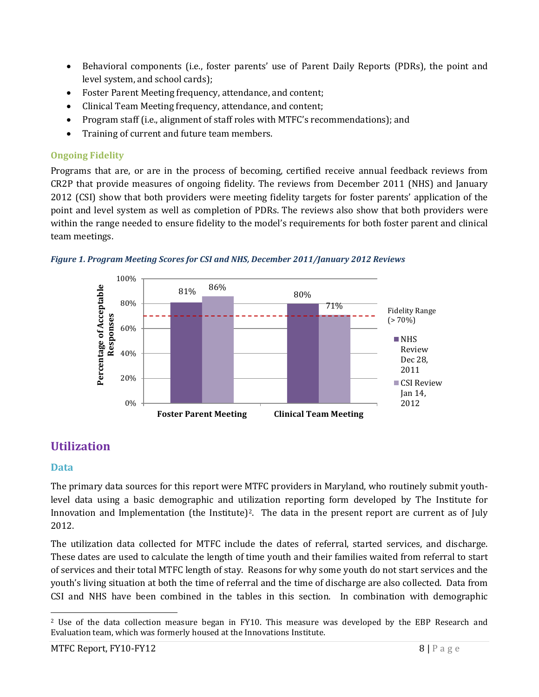- Behavioral components (i.e., foster parents' use of Parent Daily Reports (PDRs), the point and level system, and school cards);
- Foster Parent Meeting frequency, attendance, and content;
- Clinical Team Meeting frequency, attendance, and content;
- Program staff (i.e., alignment of staff roles with MTFC's recommendations); and
- Training of current and future team members.

# <span id="page-7-0"></span>**Ongoing Fidelity**

Programs that are, or are in the process of becoming, certified receive annual feedback reviews from CR2P that provide measures of ongoing fidelity. The reviews from December 2011 (NHS) and January 2012 (CSI) show that both providers were meeting fidelity targets for foster parents' application of the point and level system as well as completion of PDRs. The reviews also show that both providers were within the range needed to ensure fidelity to the model's requirements for both foster parent and clinical team meetings.





# <span id="page-7-1"></span>**Utilization**

# <span id="page-7-2"></span>**Data**

The primary data sources for this report were MTFC providers in Maryland, who routinely submit youthlevel data using a basic demographic and utilization reporting form developed by The Institute for Innovation and Implementation (the Institute)<sup>2</sup>. The data in the present report are current as of July 2012.

The utilization data collected for MTFC include the dates of referral, started services, and discharge. These dates are used to calculate the length of time youth and their families waited from referral to start of services and their total MTFC length of stay. Reasons for why some youth do not start services and the youth's living situation at both the time of referral and the time of discharge are also collected. Data from CSI and NHS have been combined in the tables in this section. In combination with demographic

<sup>&</sup>lt;sup>2</sup> Use of the data collection measure began in FY10. This measure was developed by the EBP Research and Evaluation team, which was formerly housed at the Innovations Institute.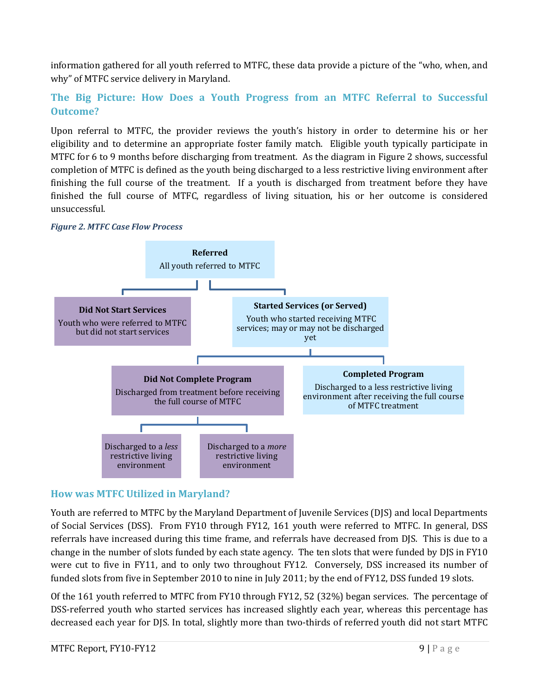information gathered for all youth referred to MTFC, these data provide a picture of the "who, when, and why" of MTFC service delivery in Maryland.

# <span id="page-8-0"></span>**The Big Picture: How Does a Youth Progress from an MTFC Referral to Successful Outcome?**

Upon referral to MTFC, the provider reviews the youth's history in order to determine his or her eligibility and to determine an appropriate foster family match. Eligible youth typically participate in MTFC for 6 to 9 months before discharging from treatment. As the diagram in Figure 2 shows, successful completion of MTFC is defined as the youth being discharged to a less restrictive living environment after finishing the full course of the treatment. If a youth is discharged from treatment before they have finished the full course of MTFC, regardless of living situation, his or her outcome is considered unsuccessful.





## <span id="page-8-1"></span>**How was MTFC Utilized in Maryland?**

Youth are referred to MTFC by the Maryland Department of Juvenile Services (DJS) and local Departments of Social Services (DSS). From FY10 through FY12, 161 youth were referred to MTFC. In general, DSS referrals have increased during this time frame, and referrals have decreased from DJS. This is due to a change in the number of slots funded by each state agency. The ten slots that were funded by DJS in FY10 were cut to five in FY11, and to only two throughout FY12. Conversely, DSS increased its number of funded slots from five in September 2010 to nine in July 2011; by the end of FY12, DSS funded 19 slots.

Of the 161 youth referred to MTFC from FY10 through FY12, 52 (32%) began services. The percentage of DSS-referred youth who started services has increased slightly each year, whereas this percentage has decreased each year for DJS. In total, slightly more than two-thirds of referred youth did not start MTFC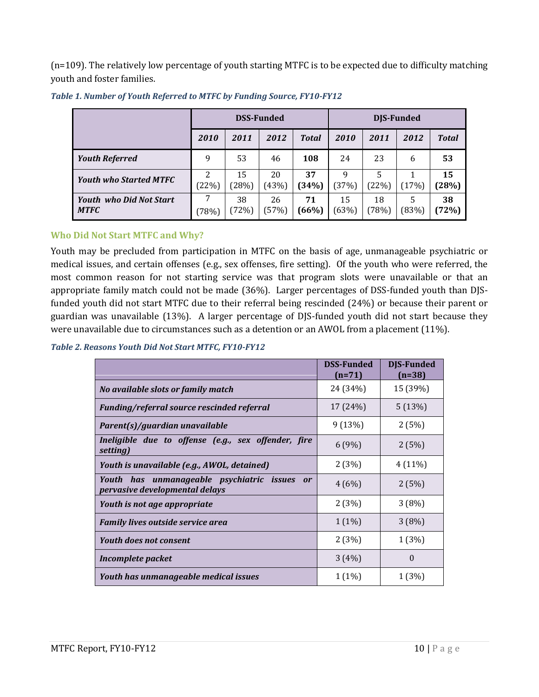(n=109). The relatively low percentage of youth starting MTFC is to be expected due to difficulty matching youth and foster families.

|                                               | <b>DSS-Funded</b> |             |             | DJS-Funded   |             |             |            |             |
|-----------------------------------------------|-------------------|-------------|-------------|--------------|-------------|-------------|------------|-------------|
|                                               | 2010              | 2011        | 2012        | <b>Total</b> | 2010        | 2011        | 2012       | Total       |
| <b>Youth Referred</b>                         | 9                 | 53          | 46          | 108          | 24          | 23          | 6          | 53          |
| <b>Youth who Started MTFC</b>                 | 2<br>(22%)        | 15<br>(28%) | 20<br>(43%) | 37<br>(34%)  | 9<br>(37%)  | (22%)       | (17%)      | 15<br>(28%) |
| <b>Youth who Did Not Start</b><br><b>MTFC</b> | (78%)             | 38<br>(72%) | 26<br>(57%) | 71<br>(66%)  | 15<br>(63%) | 18<br>(78%) | 5<br>(83%) | 38<br>(72%) |

*Table 1. Number of Youth Referred to MTFC by Funding Source, FY10-FY12*

#### <span id="page-9-0"></span>**Who Did Not Start MTFC and Why?**

Youth may be precluded from participation in MTFC on the basis of age, unmanageable psychiatric or medical issues, and certain offenses (e.g., sex offenses, fire setting). Of the youth who were referred, the most common reason for not starting service was that program slots were unavailable or that an appropriate family match could not be made (36%). Larger percentages of DSS-funded youth than DJSfunded youth did not start MTFC due to their referral being rescinded (24%) or because their parent or guardian was unavailable (13%). A larger percentage of DJS-funded youth did not start because they were unavailable due to circumstances such as a detention or an AWOL from a placement (11%).

#### *Table 2. Reasons Youth Did Not Start MTFC, FY10-FY12*

|                                                                                          | <b>DSS-Funded</b><br>$(n=71)$ | <b>DIS-Funded</b><br>$(n=38)$ |
|------------------------------------------------------------------------------------------|-------------------------------|-------------------------------|
| No available slots or family match                                                       | 24 (34%)                      | 15 (39%)                      |
| Funding/referral source rescinded referral                                               | 17 (24%)                      | 5(13%)                        |
| Parent(s)/guardian unavailable                                                           | 9(13%)                        | 2(5%)                         |
| Ineligible due to offense (e.g., sex offender, fire<br>setting)                          | 6(9%)                         | 2(5%)                         |
| Youth is unavailable (e.g., AWOL, detained)                                              | 2(3%)                         | $4(11\%)$                     |
| Youth has unmanageable psychiatric issues<br><b>or</b><br>pervasive developmental delays | 4(6%)                         | 2(5%)                         |
| Youth is not age appropriate                                                             | 2(3%)                         | 3(8%)                         |
| <b>Family lives outside service area</b>                                                 | $1(1\%)$                      | 3(8%)                         |
| <b>Youth does not consent</b>                                                            | 2(3%)                         | 1(3%)                         |
| Incomplete packet                                                                        | 3(4%)                         | $\Omega$                      |
| Youth has unmanageable medical issues                                                    | $1(1\%)$                      | 1 (3%)                        |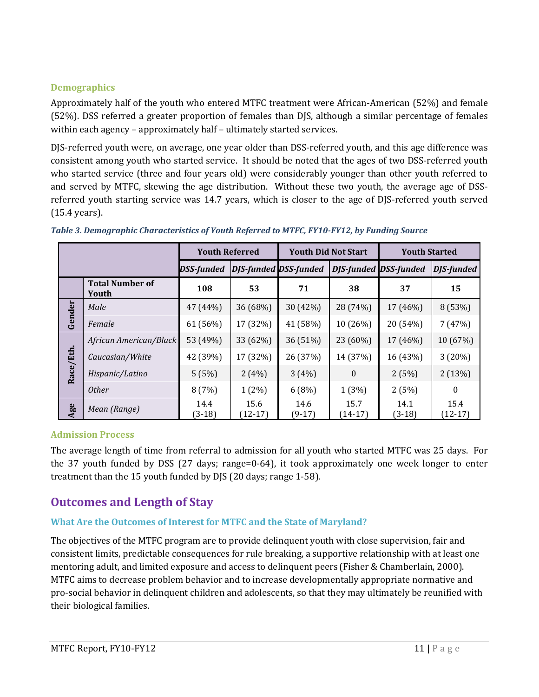## <span id="page-10-0"></span>**Demographics**

Approximately half of the youth who entered MTFC treatment were African-American (52%) and female (52%). DSS referred a greater proportion of females than DJS, although a similar percentage of females within each agency – approximately half – ultimately started services.

DJS-referred youth were, on average, one year older than DSS-referred youth, and this age difference was consistent among youth who started service. It should be noted that the ages of two DSS-referred youth who started service (three and four years old) were considerably younger than other youth referred to and served by MTFC, skewing the age distribution. Without these two youth, the average age of DSSreferred youth starting service was 14.7 years, which is closer to the age of DJS-referred youth served (15.4 years).

|           |                                 | <b>Youth Referred</b> |                              | <b>Youth Did Not Start</b> |                   | <b>Youth Started</b>         |                   |
|-----------|---------------------------------|-----------------------|------------------------------|----------------------------|-------------------|------------------------------|-------------------|
|           |                                 | <b>DSS-funded</b>     | <b>DJS-funded DSS-funded</b> |                            |                   | <b>DJS-funded DSS-funded</b> | <b>DJS-funded</b> |
|           | <b>Total Number of</b><br>Youth | 108                   | 53                           | 71                         | 38                | 37                           | 15                |
| Gender    | Male                            | 47 (44%)              | 36 (68%)                     | 30 (42%)                   | 28 (74%)          | 17 (46%)                     | 8 (53%)           |
|           | Female                          | 61 (56%)              | 17 (32%)                     | 41 (58%)                   | 10 (26%)          | 20 (54%)                     | 7(47%)            |
|           | African American/Black          | 53 (49%)              | 33 (62%)                     | 36 (51%)                   | $23(60\%)$        | 17 (46%)                     | 10 (67%)          |
|           | Caucasian/White                 | 42 (39%)              | 17 (32%)                     | 26 (37%)                   | 14 (37%)          | 16 (43%)                     | 3(20%)            |
| Race/Eth. | Hispanic/Latino                 | 5(5%)                 | 2(4%)                        | 3(4%)                      | $\boldsymbol{0}$  | 2(5%)                        | 2(13%)            |
|           | <i>Other</i>                    | 8(7%)                 | $1(2\%)$                     | 6(8%)                      | 1(3%)             | 2(5%)                        | $\Omega$          |
| Age       | Mean (Range)                    | 14.4<br>$(3-18)$      | 15.6<br>$(12-17)$            | 14.6<br>$(9-17)$           | 15.7<br>$(14-17)$ | 14.1<br>(3-18)               | 15.4<br>$(12-17)$ |

#### *Table 3. Demographic Characteristics of Youth Referred to MTFC, FY10-FY12, by Funding Source*

#### <span id="page-10-1"></span>**Admission Process**

The average length of time from referral to admission for all youth who started MTFC was 25 days. For the 37 youth funded by DSS (27 days; range=0-64), it took approximately one week longer to enter treatment than the 15 youth funded by DJS (20 days; range 1-58).

# <span id="page-10-2"></span>**Outcomes and Length of Stay**

#### <span id="page-10-3"></span>**What Are the Outcomes of Interest for MTFC and the State of Maryland?**

The objectives of the MTFC program are to provide delinquent youth with close supervision, fair and consistent limits, predictable consequences for rule breaking, a supportive relationship with at least one mentoring adult, and limited exposure and access to delinquent peers (Fisher & Chamberlain, 2000). MTFC aims to decrease problem behavior and to increase developmentally appropriate normative and pro-social behavior in delinquent children and adolescents, so that they may ultimately be reunified with their biological families.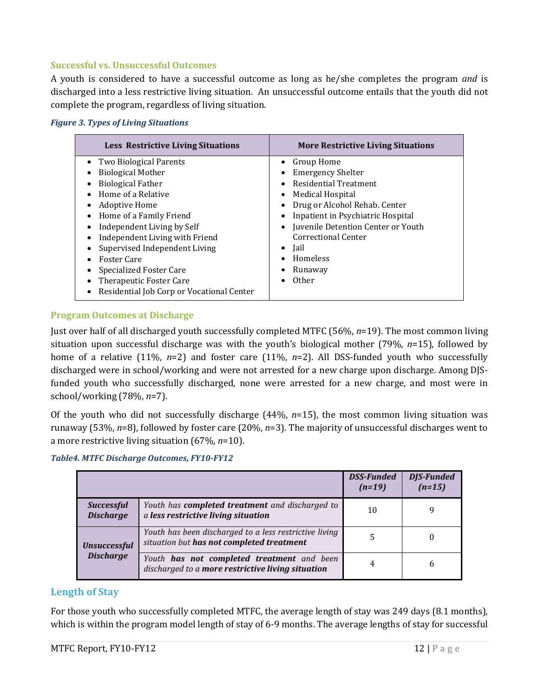#### <span id="page-11-0"></span>**Successful vs. Unsuccessful Outcomes**

A youth is considered to have a successful outcome as long as he/she completes the program *and* is discharged into a less restrictive living situation. An unsuccessful outcome entails that the youth did not complete the program, regardless of living situation.

| <b>Figure 3. Types of Living Situations</b> |  |  |  |  |
|---------------------------------------------|--|--|--|--|
|---------------------------------------------|--|--|--|--|

| <b>Less Restrictive Living Situations</b>                                                                                                                                                                                                                                                                                                                                              | <b>More Restrictive Living Situations</b>                                                                                                                                                                                                                                                 |
|----------------------------------------------------------------------------------------------------------------------------------------------------------------------------------------------------------------------------------------------------------------------------------------------------------------------------------------------------------------------------------------|-------------------------------------------------------------------------------------------------------------------------------------------------------------------------------------------------------------------------------------------------------------------------------------------|
| Two Biological Parents<br><b>Biological Mother</b><br><b>Biological Father</b><br>Home of a Relative<br>Adoptive Home<br>Home of a Family Friend<br>Independent Living by Self<br>Independent Living with Friend<br>Supervised Independent Living<br><b>Foster Care</b><br><b>Specialized Foster Care</b><br>Therapeutic Foster Care<br>Residential Job Corp or Vocational Center<br>٠ | Group Home<br><b>Emergency Shelter</b><br><b>Residential Treatment</b><br>Medical Hospital<br>Drug or Alcohol Rehab. Center<br>Inpatient in Psychiatric Hospital<br>Juvenile Detention Center or Youth<br>Correctional Center<br>Jail<br>$\bullet$<br>Homeless<br>Runaway<br><b>Other</b> |

#### <span id="page-11-1"></span>**Program Outcomes at Discharge**

Just over half of all discharged youth successfully completed MTFC (56%, *n*=19). The most common living situation upon successful discharge was with the youth's biological mother (79%, *n*=15), followed by home of a relative (11%, *n*=2) and foster care (11%, *n*=2). All DSS-funded youth who successfully discharged were in school/working and were not arrested for a new charge upon discharge. Among DJSfunded youth who successfully discharged, none were arrested for a new charge, and most were in school/working (78%, *n*=7).

Of the youth who did not successfully discharge (44%, *n*=15), the most common living situation was runaway (53%, *n*=8), followed by foster care (20%, *n*=3). The majority of unsuccessful discharges went to a more restrictive living situation (67%, *n*=10).

|  |  |  |  | Table4. MTFC Discharge Outcomes, FY10-FY12 |
|--|--|--|--|--------------------------------------------|
|--|--|--|--|--------------------------------------------|

|                                       |                                                                                                     | <b>DSS-Funded</b><br>$(n=19)$ | <b>DJS-Funded</b><br>$(n=15)$ |
|---------------------------------------|-----------------------------------------------------------------------------------------------------|-------------------------------|-------------------------------|
| <b>Successful</b><br><b>Discharge</b> | Youth has <b>completed treatment</b> and discharged to<br>a less restrictive living situation       | 10                            | q                             |
| <b>Unsuccessful</b>                   | Youth has been discharged to a less restrictive living<br>situation but has not completed treatment | 5                             |                               |
| <b>Discharge</b>                      | Youth has not completed treatment and been<br>discharged to a more restrictive living situation     |                               | b                             |

## <span id="page-11-2"></span>**Length of Stay**

For those youth who successfully completed MTFC, the average length of stay was 249 days (8.1 months), which is within the program model length of stay of 6-9 months. The average lengths of stay for successful